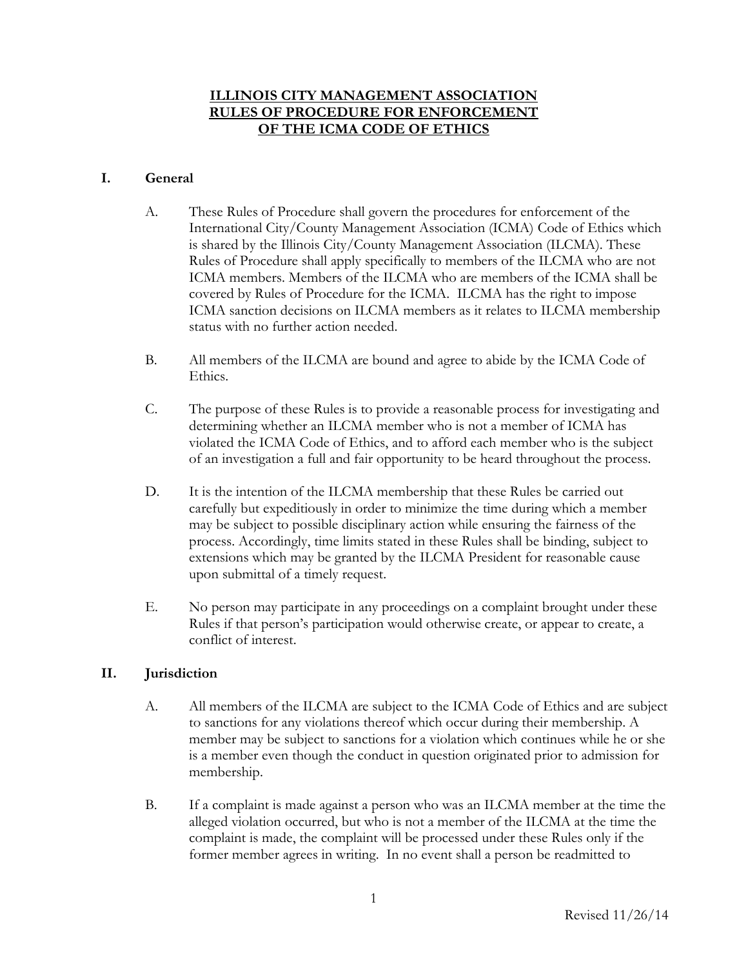# **ILLINOIS CITY MANAGEMENT ASSOCIATION RULES OF PROCEDURE FOR ENFORCEMENT OF THE ICMA CODE OF ETHICS**

## **I. General**

- A. These Rules of Procedure shall govern the procedures for enforcement of the International City/County Management Association (ICMA) Code of Ethics which is shared by the Illinois City/County Management Association (ILCMA). These Rules of Procedure shall apply specifically to members of the ILCMA who are not ICMA members. Members of the ILCMA who are members of the ICMA shall be covered by Rules of Procedure for the ICMA. ILCMA has the right to impose ICMA sanction decisions on ILCMA members as it relates to ILCMA membership status with no further action needed.
- B. All members of the ILCMA are bound and agree to abide by the ICMA Code of Ethics.
- C. The purpose of these Rules is to provide a reasonable process for investigating and determining whether an ILCMA member who is not a member of ICMA has violated the ICMA Code of Ethics, and to afford each member who is the subject of an investigation a full and fair opportunity to be heard throughout the process.
- D. It is the intention of the ILCMA membership that these Rules be carried out carefully but expeditiously in order to minimize the time during which a member may be subject to possible disciplinary action while ensuring the fairness of the process. Accordingly, time limits stated in these Rules shall be binding, subject to extensions which may be granted by the ILCMA President for reasonable cause upon submittal of a timely request.
- E. No person may participate in any proceedings on a complaint brought under these Rules if that person's participation would otherwise create, or appear to create, a conflict of interest.

## **II. Jurisdiction**

- A. All members of the ILCMA are subject to the ICMA Code of Ethics and are subject to sanctions for any violations thereof which occur during their membership. A member may be subject to sanctions for a violation which continues while he or she is a member even though the conduct in question originated prior to admission for membership.
- B. If a complaint is made against a person who was an ILCMA member at the time the alleged violation occurred, but who is not a member of the ILCMA at the time the complaint is made, the complaint will be processed under these Rules only if the former member agrees in writing. In no event shall a person be readmitted to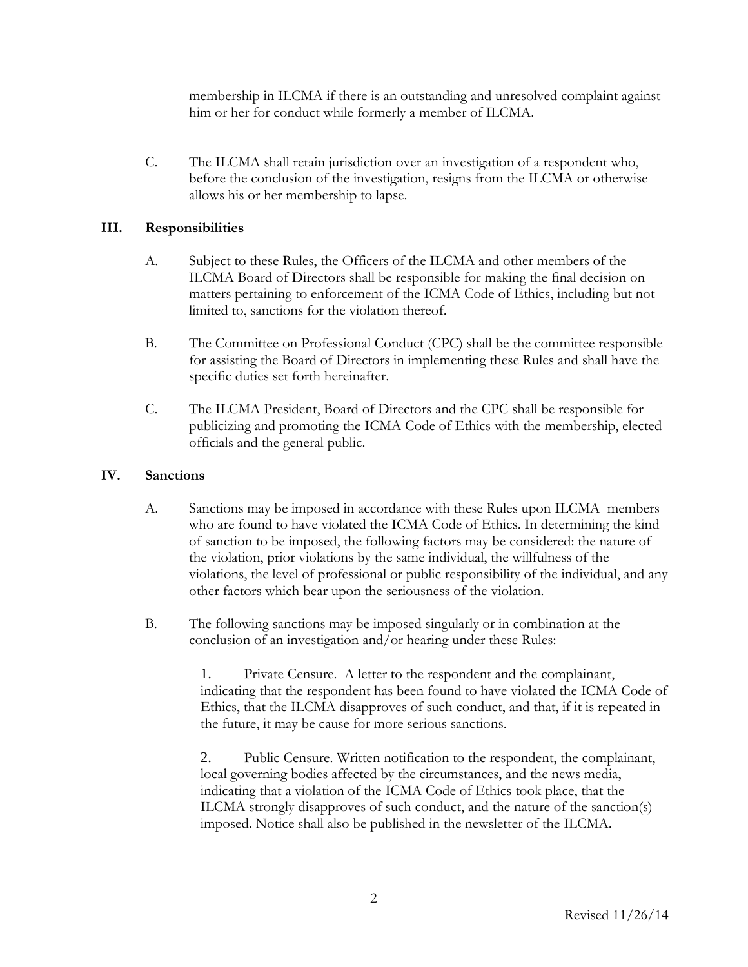membership in ILCMA if there is an outstanding and unresolved complaint against him or her for conduct while formerly a member of ILCMA.

C. The ILCMA shall retain jurisdiction over an investigation of a respondent who, before the conclusion of the investigation, resigns from the ILCMA or otherwise allows his or her membership to lapse.

# **III. Responsibilities**

- A. Subject to these Rules, the Officers of the ILCMA and other members of the ILCMA Board of Directors shall be responsible for making the final decision on matters pertaining to enforcement of the ICMA Code of Ethics, including but not limited to, sanctions for the violation thereof.
- B. The Committee on Professional Conduct (CPC) shall be the committee responsible for assisting the Board of Directors in implementing these Rules and shall have the specific duties set forth hereinafter.
- C. The ILCMA President, Board of Directors and the CPC shall be responsible for publicizing and promoting the ICMA Code of Ethics with the membership, elected officials and the general public.

## **IV. Sanctions**

- A. Sanctions may be imposed in accordance with these Rules upon ILCMA members who are found to have violated the ICMA Code of Ethics. In determining the kind of sanction to be imposed, the following factors may be considered: the nature of the violation, prior violations by the same individual, the willfulness of the violations, the level of professional or public responsibility of the individual, and any other factors which bear upon the seriousness of the violation.
- B. The following sanctions may be imposed singularly or in combination at the conclusion of an investigation and/or hearing under these Rules:

1. Private Censure. A letter to the respondent and the complainant, indicating that the respondent has been found to have violated the ICMA Code of Ethics, that the ILCMA disapproves of such conduct, and that, if it is repeated in the future, it may be cause for more serious sanctions.

2. Public Censure. Written notification to the respondent, the complainant, local governing bodies affected by the circumstances, and the news media, indicating that a violation of the ICMA Code of Ethics took place, that the ILCMA strongly disapproves of such conduct, and the nature of the sanction(s) imposed. Notice shall also be published in the newsletter of the ILCMA.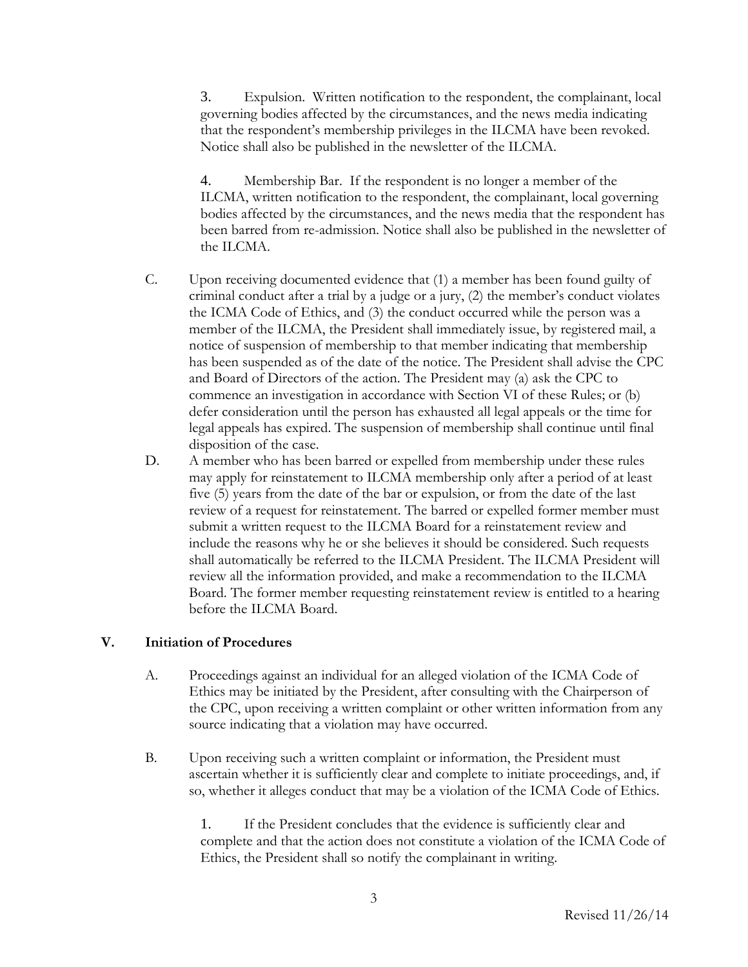3. Expulsion. Written notification to the respondent, the complainant, local governing bodies affected by the circumstances, and the news media indicating that the respondent's membership privileges in the ILCMA have been revoked. Notice shall also be published in the newsletter of the ILCMA.

4. Membership Bar. If the respondent is no longer a member of the ILCMA, written notification to the respondent, the complainant, local governing bodies affected by the circumstances, and the news media that the respondent has been barred from re-admission. Notice shall also be published in the newsletter of the ILCMA.

- C. Upon receiving documented evidence that (1) a member has been found guilty of criminal conduct after a trial by a judge or a jury, (2) the member's conduct violates the ICMA Code of Ethics, and (3) the conduct occurred while the person was a member of the ILCMA, the President shall immediately issue, by registered mail, a notice of suspension of membership to that member indicating that membership has been suspended as of the date of the notice. The President shall advise the CPC and Board of Directors of the action. The President may (a) ask the CPC to commence an investigation in accordance with Section VI of these Rules; or (b) defer consideration until the person has exhausted all legal appeals or the time for legal appeals has expired. The suspension of membership shall continue until final disposition of the case.
- D. A member who has been barred or expelled from membership under these rules may apply for reinstatement to ILCMA membership only after a period of at least five (5) years from the date of the bar or expulsion, or from the date of the last review of a request for reinstatement. The barred or expelled former member must submit a written request to the ILCMA Board for a reinstatement review and include the reasons why he or she believes it should be considered. Such requests shall automatically be referred to the ILCMA President. The ILCMA President will review all the information provided, and make a recommendation to the ILCMA Board. The former member requesting reinstatement review is entitled to a hearing before the ILCMA Board.

## **V. Initiation of Procedures**

- A. Proceedings against an individual for an alleged violation of the ICMA Code of Ethics may be initiated by the President, after consulting with the Chairperson of the CPC, upon receiving a written complaint or other written information from any source indicating that a violation may have occurred.
- B. Upon receiving such a written complaint or information, the President must ascertain whether it is sufficiently clear and complete to initiate proceedings, and, if so, whether it alleges conduct that may be a violation of the ICMA Code of Ethics.

1. If the President concludes that the evidence is sufficiently clear and complete and that the action does not constitute a violation of the ICMA Code of Ethics, the President shall so notify the complainant in writing.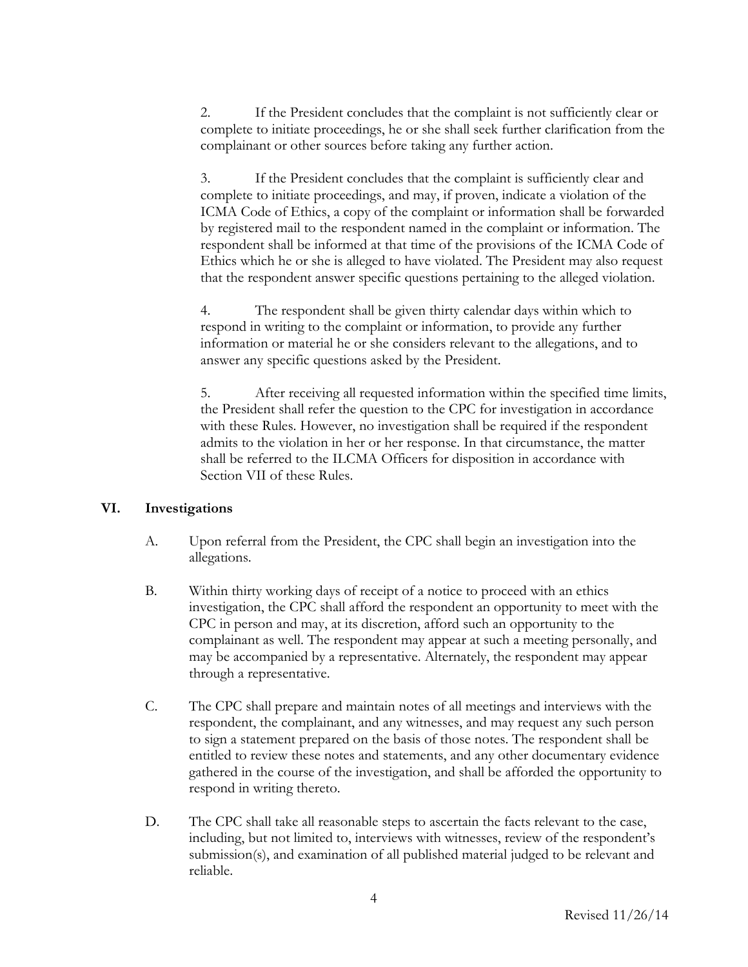2. If the President concludes that the complaint is not sufficiently clear or complete to initiate proceedings, he or she shall seek further clarification from the complainant or other sources before taking any further action.

3. If the President concludes that the complaint is sufficiently clear and complete to initiate proceedings, and may, if proven, indicate a violation of the ICMA Code of Ethics, a copy of the complaint or information shall be forwarded by registered mail to the respondent named in the complaint or information. The respondent shall be informed at that time of the provisions of the ICMA Code of Ethics which he or she is alleged to have violated. The President may also request that the respondent answer specific questions pertaining to the alleged violation.

4. The respondent shall be given thirty calendar days within which to respond in writing to the complaint or information, to provide any further information or material he or she considers relevant to the allegations, and to answer any specific questions asked by the President.

5. After receiving all requested information within the specified time limits, the President shall refer the question to the CPC for investigation in accordance with these Rules. However, no investigation shall be required if the respondent admits to the violation in her or her response. In that circumstance, the matter shall be referred to the ILCMA Officers for disposition in accordance with Section VII of these Rules.

#### **VI. Investigations**

- A. Upon referral from the President, the CPC shall begin an investigation into the allegations.
- B. Within thirty working days of receipt of a notice to proceed with an ethics investigation, the CPC shall afford the respondent an opportunity to meet with the CPC in person and may, at its discretion, afford such an opportunity to the complainant as well. The respondent may appear at such a meeting personally, and may be accompanied by a representative. Alternately, the respondent may appear through a representative.
- C. The CPC shall prepare and maintain notes of all meetings and interviews with the respondent, the complainant, and any witnesses, and may request any such person to sign a statement prepared on the basis of those notes. The respondent shall be entitled to review these notes and statements, and any other documentary evidence gathered in the course of the investigation, and shall be afforded the opportunity to respond in writing thereto.
- D. The CPC shall take all reasonable steps to ascertain the facts relevant to the case, including, but not limited to, interviews with witnesses, review of the respondent's submission(s), and examination of all published material judged to be relevant and reliable.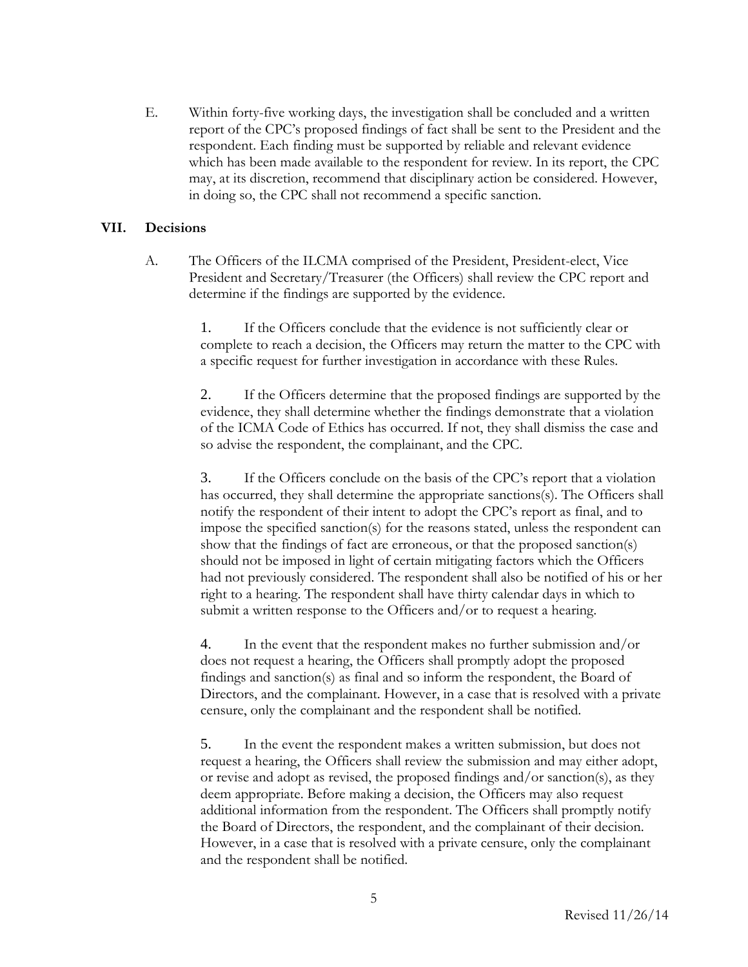E. Within forty-five working days, the investigation shall be concluded and a written report of the CPC's proposed findings of fact shall be sent to the President and the respondent. Each finding must be supported by reliable and relevant evidence which has been made available to the respondent for review. In its report, the CPC may, at its discretion, recommend that disciplinary action be considered. However, in doing so, the CPC shall not recommend a specific sanction.

## **VII. Decisions**

A. The Officers of the ILCMA comprised of the President, President-elect, Vice President and Secretary/Treasurer (the Officers) shall review the CPC report and determine if the findings are supported by the evidence.

> 1. If the Officers conclude that the evidence is not sufficiently clear or complete to reach a decision, the Officers may return the matter to the CPC with a specific request for further investigation in accordance with these Rules.

> 2. If the Officers determine that the proposed findings are supported by the evidence, they shall determine whether the findings demonstrate that a violation of the ICMA Code of Ethics has occurred. If not, they shall dismiss the case and so advise the respondent, the complainant, and the CPC.

> 3. If the Officers conclude on the basis of the CPC's report that a violation has occurred, they shall determine the appropriate sanctions(s). The Officers shall notify the respondent of their intent to adopt the CPC's report as final, and to impose the specified sanction(s) for the reasons stated, unless the respondent can show that the findings of fact are erroneous, or that the proposed sanction(s) should not be imposed in light of certain mitigating factors which the Officers had not previously considered. The respondent shall also be notified of his or her right to a hearing. The respondent shall have thirty calendar days in which to submit a written response to the Officers and/or to request a hearing.

> 4. In the event that the respondent makes no further submission and/or does not request a hearing, the Officers shall promptly adopt the proposed findings and sanction(s) as final and so inform the respondent, the Board of Directors, and the complainant. However, in a case that is resolved with a private censure, only the complainant and the respondent shall be notified.

> 5. In the event the respondent makes a written submission, but does not request a hearing, the Officers shall review the submission and may either adopt, or revise and adopt as revised, the proposed findings and/or sanction(s), as they deem appropriate. Before making a decision, the Officers may also request additional information from the respondent. The Officers shall promptly notify the Board of Directors, the respondent, and the complainant of their decision. However, in a case that is resolved with a private censure, only the complainant and the respondent shall be notified.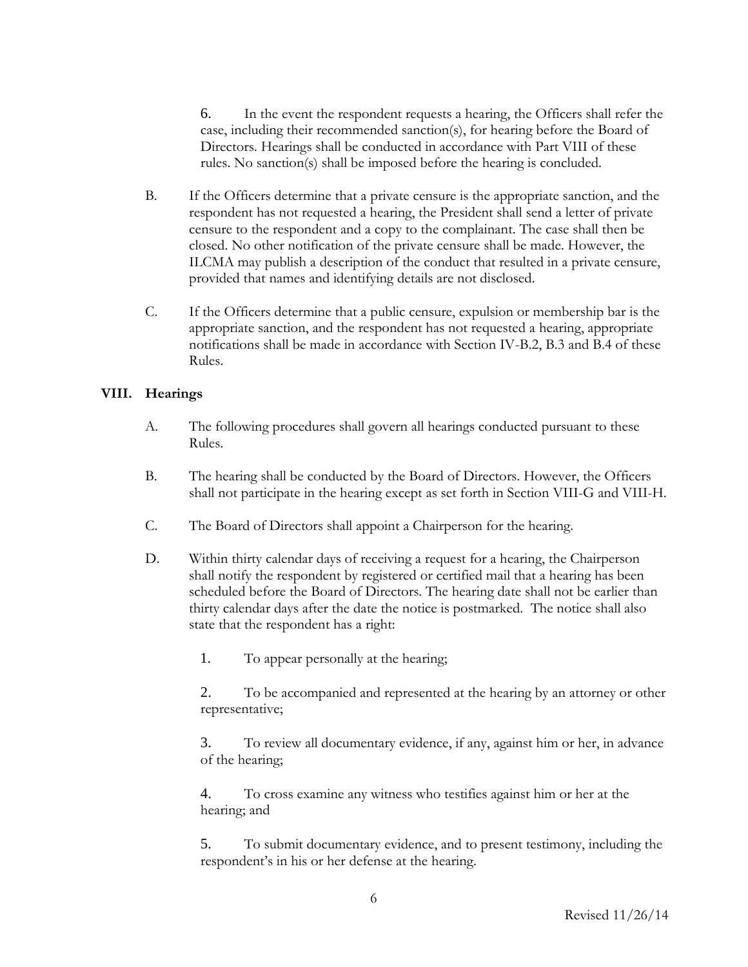6. In the event the respondent requests a hearing, the Officers shall refer the case, including their recommended sanction(s), for hearing before the Board of Directors. Hearings shall be conducted in accordance with Part VIII of these rules. No sanction(s) shall be imposed before the hearing is concluded.

- B. If the Officers determine that a private censure is the appropriate sanction, and the respondent has not requested a hearing, the President shall send a letter of private censure to the respondent and a copy to the complainant. The case shall then be closed. No other notification of the private censure shall be made. However, the ILCMA may publish a description of the conduct that resulted in a private censure, provided that names and identifying details are not disclosed.
- C. If the Officers determine that a public censure, expulsion or membership bar is the appropriate sanction, and the respondent has not requested a hearing, appropriate notifications shall be made in accordance with Section IV-B.2, B.3 and B.4 of these Rules.

#### **VIII. Hearings**

- A. The following procedures shall govern all hearings conducted pursuant to these Rules.
- B. The hearing shall be conducted by the Board of Directors. However, the Officers shall not participate in the hearing except as set forth in Section VIII-G and VIII-H.
- C. The Board of Directors shall appoint a Chairperson for the hearing.
- D. Within thirty calendar days of receiving a request for a hearing, the Chairperson shall notify the respondent by registered or certified mail that a hearing has been scheduled before the Board of Directors. The hearing date shall not be earlier than thirty calendar days after the date the notice is postmarked. The notice shall also state that the respondent has a right:

1. To appear personally at the hearing;

2. To be accompanied and represented at the hearing by an attorney or other representative;

3. To review all documentary evidence, if any, against him or her, in advance of the hearing;

4. To cross examine any witness who testifies against him or her at the hearing; and

5. To submit documentary evidence, and to present testimony, including the respondent's in his or her defense at the hearing.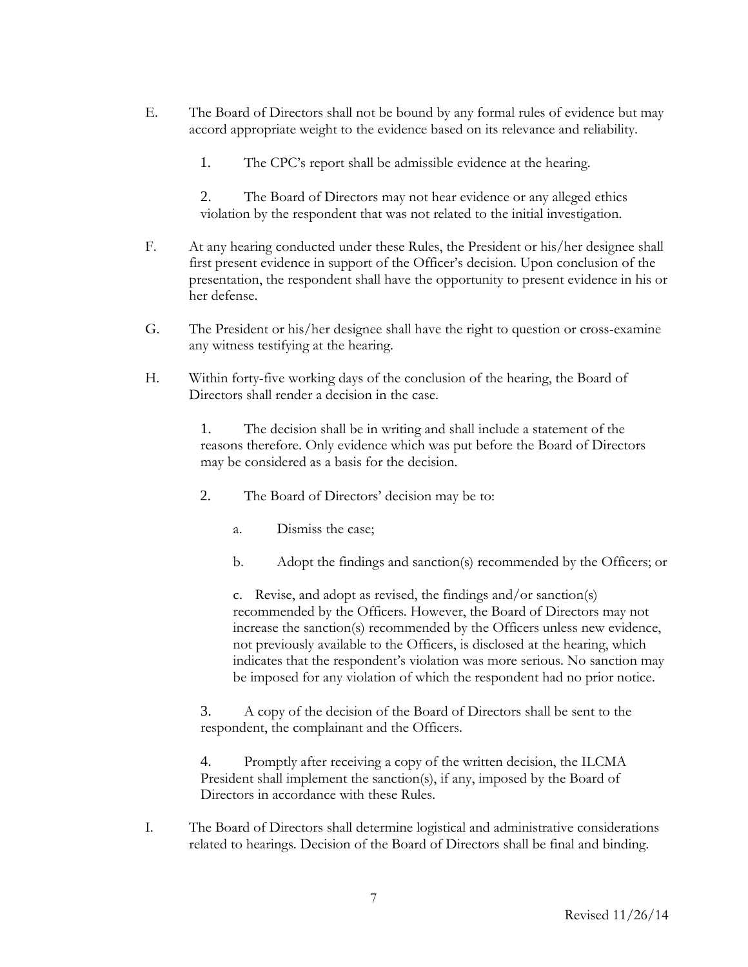- E. The Board of Directors shall not be bound by any formal rules of evidence but may accord appropriate weight to the evidence based on its relevance and reliability.
	- 1. The CPC's report shall be admissible evidence at the hearing.

2. The Board of Directors may not hear evidence or any alleged ethics violation by the respondent that was not related to the initial investigation.

- F. At any hearing conducted under these Rules, the President or his/her designee shall first present evidence in support of the Officer's decision. Upon conclusion of the presentation, the respondent shall have the opportunity to present evidence in his or her defense.
- G. The President or his/her designee shall have the right to question or cross-examine any witness testifying at the hearing.
- H. Within forty-five working days of the conclusion of the hearing, the Board of Directors shall render a decision in the case.

1. The decision shall be in writing and shall include a statement of the reasons therefore. Only evidence which was put before the Board of Directors may be considered as a basis for the decision.

- 2. The Board of Directors' decision may be to:
	- a. Dismiss the case;
	- b. Adopt the findings and sanction(s) recommended by the Officers; or

c. Revise, and adopt as revised, the findings and/or sanction(s) recommended by the Officers. However, the Board of Directors may not increase the sanction(s) recommended by the Officers unless new evidence, not previously available to the Officers, is disclosed at the hearing, which indicates that the respondent's violation was more serious. No sanction may be imposed for any violation of which the respondent had no prior notice.

3. A copy of the decision of the Board of Directors shall be sent to the respondent, the complainant and the Officers.

4. Promptly after receiving a copy of the written decision, the ILCMA President shall implement the sanction(s), if any, imposed by the Board of Directors in accordance with these Rules.

I. The Board of Directors shall determine logistical and administrative considerations related to hearings. Decision of the Board of Directors shall be final and binding.